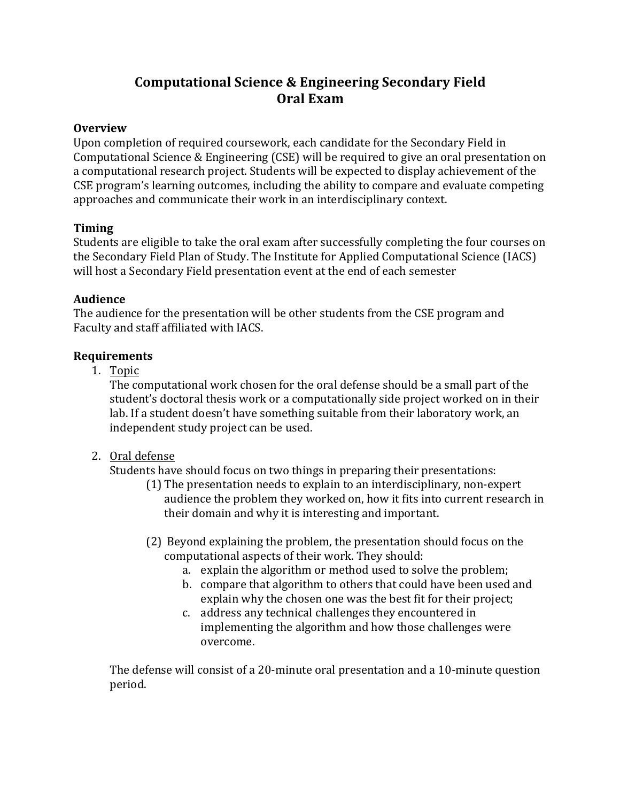# **Computational Science & Engineering Secondary Field Oral Exam**

### **Overview**

Upon completion of required coursework, each candidate for the Secondary Field in Computational Science & Engineering (CSE) will be required to give an oral presentation on a computational research project. Students will be expected to display achievement of the CSE program's learning outcomes, including the ability to compare and evaluate competing approaches and communicate their work in an interdisciplinary context.

## **Timing**

Students are eligible to take the oral exam after successfully completing the four courses on the Secondary Field Plan of Study. The Institute for Applied Computational Science (IACS) will host a Secondary Field presentation event at the end of each semester

## **Audience**

The audience for the presentation will be other students from the CSE program and Faculty and staff affiliated with IACS.

## **Requirements**

1. Topic

The computational work chosen for the oral defense should be a small part of the student's doctoral thesis work or a computationally side project worked on in their lab. If a student doesn't have something suitable from their laboratory work, an independent study project can be used.

2. Oral defense

Students have should focus on two things in preparing their presentations:

- (1) The presentation needs to explain to an interdisciplinary, non-expert audience the problem they worked on, how it fits into current research in their domain and why it is interesting and important.
- (2) Beyond explaining the problem, the presentation should focus on the computational aspects of their work. They should:
	- a. explain the algorithm or method used to solve the problem;
	- b. compare that algorithm to others that could have been used and explain why the chosen one was the best fit for their project;
	- c. address any technical challenges they encountered in implementing the algorithm and how those challenges were overcome.

The defense will consist of a 20-minute oral presentation and a 10-minute question period.